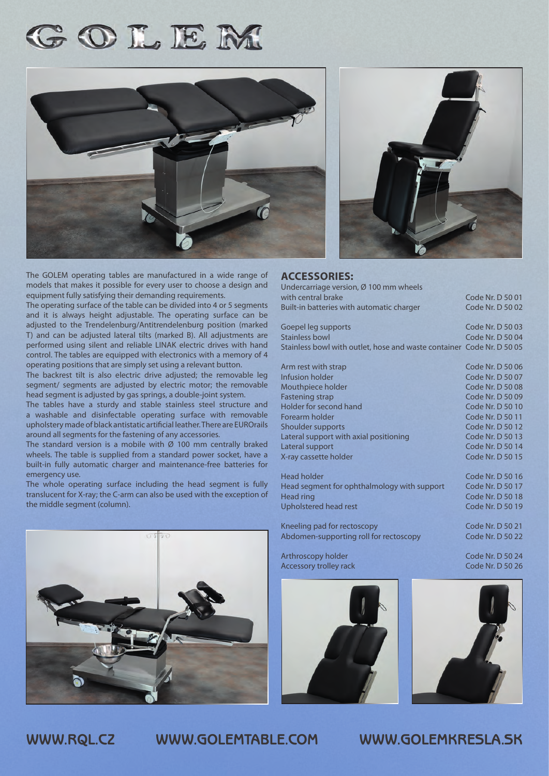## GOLEM



The GOLEM operating tables are manufactured in a wide range of models that makes it possible for every user to choose a design and equipment fully satisfying their demanding requirements.

The operating surface of the table can be divided into 4 or 5 segments and it is always height adjustable. The operating surface can be adjusted to the Trendelenburg/Antitrendelenburg position (marked T) and can be adjusted lateral tilts (marked B). All adjustments are performed using silent and reliable LINAK electric drives with hand control. The tables are equipped with electronics with a memory of 4 operating positions that are simply set using a relevant button.

The backrest tilt is also electric drive adjusted; the removable leg segment/ segments are adjusted by electric motor; the removable head segment is adjusted by gas springs, a double-joint system.

The tables have a sturdy and stable stainless steel structure and a washable and disinfectable operating surface with removable upholstery made of black antistatic artificial leather. There are EUROrails around all segments for the fastening of any accessories.

The standard version is a mobile with  $\varnothing$  100 mm centrally braked wheels. The table is supplied from a standard power socket, have a built-in fully automatic charger and maintenance-free batteries for emergency use.

The whole operating surface including the head segment is fully translucent for X-ray; the C-arm can also be used with the exception of the middle segment (column).





## **ACCESSORIES:**

| Undercarriage version, Ø 100 mm wheels                                |                                    |
|-----------------------------------------------------------------------|------------------------------------|
| with central brake                                                    | Code Nr. D 50 01                   |
| Built-in batteries with automatic charger                             | Code Nr. D 50 02                   |
| Goepel leg supports                                                   | Code Nr. D 50 03                   |
| <b>Stainless bowl</b>                                                 | Code Nr. D 50 04                   |
| Stainless bowl with outlet, hose and waste container Code Nr. D 50 05 |                                    |
| Arm rest with strap                                                   | Code Nr. D 50 06                   |
| Infusion holder                                                       | Code Nr. D 50 07                   |
| Mouthpiece holder                                                     | Code Nr. D 50 08                   |
| <b>Fastening strap</b>                                                | Code Nr. D 50 09                   |
| Holder for second hand                                                | Code Nr. D 50 10                   |
| Forearm holder                                                        | Code Nr. D 50 11                   |
| Shoulder supports                                                     | Code Nr. D 50 12                   |
| Lateral support with axial positioning                                | Code Nr. D 50 13                   |
| I will also a linear contract to the                                  | $C - 1 - M$ $\cup$ $D$ $T$ $A$ $A$ |

X-ray cassette holder Head holder Code Nr. D 50 16 Head segment for ophthalmology with support Code Nr. D 50 17 Head ring Code Nr. D 50 18 Upholstered head rest Code Nr. D 50 19

Kneeling pad for rectoscopy Code Nr. D 50 21 Abdomen-supporting roll for rectoscopy Code Nr. D 50 22

Arthroscopy holder Code Nr. D 50 24 Accessory trolley rack Code Nr. D 50 26



Lateral support Code Nr. D 50 14



**WWW.RQL.CZ WWW.GOLEMTABLE.COM WWW.GOLEMKRESLA.SK**